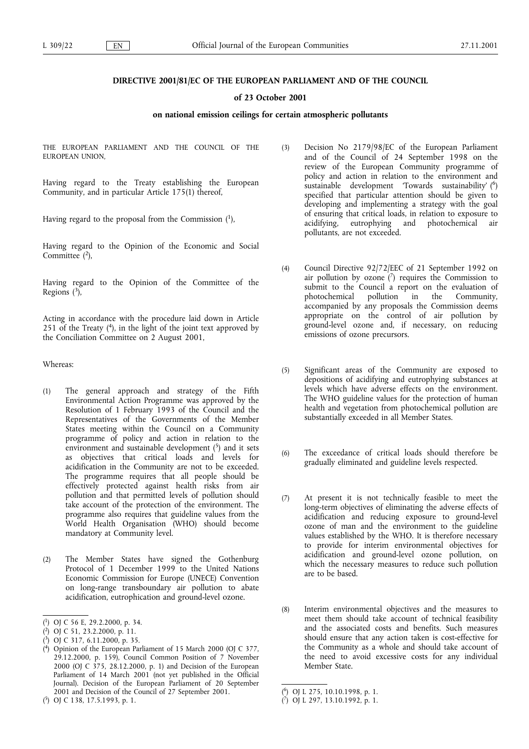# DIRECTIVE 2001/81/EC OF THE EUROPEAN PARLIAMENT AND OF THE COUNCIL

# of 23 October 2001

## on national emission ceilings for certain atmospheric pollutants

THE EUROPEAN PARLIAMENT AND THE COUNCIL OF THE EUROPEAN UNION,

Having regard to the Treaty establishing the European Community, and in particular Article 175(1) thereof,

Having regard to the proposal from the Commission  $(1)$ ,

Having regard to the Opinion of the Economic and Social Committee  $(2)$ ,

Having regard to the Opinion of the Committee of the Regions  $\binom{3}{7}$ ,

Acting in accordance with the procedure laid down in Article 251 of the Treaty  $(4)$ , in the light of the joint text approved by the Conciliation Committee on 2 August 2001,

Whereas:

- (1) The general approach and strategy of the Fifth Environmental Action Programme was approved by the Resolution of 1 February 1993 of the Council and the Representatives of the Governments of the Member States meeting within the Council on a Community programme of policy and action in relation to the environment and sustainable development  $(5)$  and it sets as objectives that critical loads and levels for acidification in the Community are not to be exceeded. The programme requires that all people should be effectively protected against health risks from air pollution and that permitted levels of pollution should take account of the protection of the environment. The programme also requires that guideline values from the World Health Organisation (WHO) should become mandatory at Community level.
- (2) The Member States have signed the Gothenburg Protocol of 1 December 1999 to the United Nations Economic Commission for Europe (UNECE) Convention on long-range transboundary air pollution to abate acidification, eutrophication and ground-level ozone.

( 5) OJ C 138, 17.5.1993, p. 1.

- (3) Decision No 2179/98/EC of the European Parliament and of the Council of 24 September 1998 on the review of the European Community programme of policy and action in relation to the environment and sustainable development Towards sustainability (6) specified that particular attention should be given to developing and implementing a strategy with the goal of ensuring that critical loads, in relation to exposure to acidifying, eutrophying and photochemical air pollutants, are not exceeded.
- (4) Council Directive 92/72/EEC of 21 September 1992 on air pollution by ozone  $(7)$  requires the Commission to submit to the Council a report on the evaluation of photochemical pollution in the Community, photochemical pollution in the Community, accompanied by any proposals the Commission deems appropriate on the control of air pollution by ground-level ozone and, if necessary, on reducing emissions of ozone precursors.
- (5) Significant areas of the Community are exposed to depositions of acidifying and eutrophying substances at levels which have adverse effects on the environment. The WHO guideline values for the protection of human health and vegetation from photochemical pollution are substantially exceeded in all Member States.
- (6) The exceedance of critical loads should therefore be gradually eliminated and guideline levels respected.
- (7) At present it is not technically feasible to meet the long-term objectives of eliminating the adverse effects of acidification and reducing exposure to ground-level ozone of man and the environment to the guideline values established by the WHO. It is therefore necessary to provide for interim environmental objectives for acidification and ground-level ozone pollution, on which the necessary measures to reduce such pollution are to be based.
- (8) Interim environmental objectives and the measures to meet them should take account of technical feasibility and the associated costs and benefits. Such measures should ensure that any action taken is cost-effective for the Community as a whole and should take account of the need to avoid excessive costs for any individual Member State.

<sup>(</sup> 1) OJ C 56 E, 29.2.2000, p. 34.

<sup>(</sup> 2) OJ C 51, 23.2.2000, p. 11.

<sup>(</sup> 3) OJ C 317, 6.11.2000, p. 35.

<sup>(</sup> 4) Opinion of the European Parliament of 15 March 2000 (OJ C 377, 29.12.2000, p. 159), Council Common Position of 7 November 2000 (OJ C 375, 28.12.2000, p. 1) and Decision of the European Parliament of 14 March 2001 (not yet published in the Official Journal). Decision of the European Parliament of 20 September 2001 and Decision of the Council of 27 September 2001.

<sup>(</sup> 6) OJ L 275, 10.10.1998, p. 1.

<sup>(</sup> 7) OJ L 297, 13.10.1992, p. 1.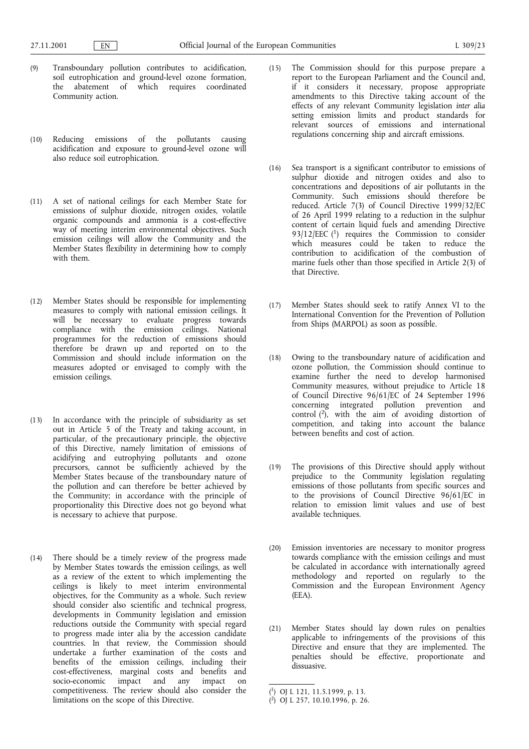- (9) Transboundary pollution contributes to acidification, soil eutrophication and ground-level ozone formation, the abatement of which requires coordinated Community action.
- (10) Reducing emissions of the pollutants causing acidification and exposure to ground-level ozone will also reduce soil eutrophication.
- (11) A set of national ceilings for each Member State for emissions of sulphur dioxide, nitrogen oxides, volatile organic compounds and ammonia is a cost-effective way of meeting interim environmental objectives. Such emission ceilings will allow the Community and the Member States flexibility in determining how to comply with them.
- (12) Member States should be responsible for implementing measures to comply with national emission ceilings. It will be necessary to evaluate progress towards compliance with the emission ceilings. National programmes for the reduction of emissions should therefore be drawn up and reported on to the Commission and should include information on the measures adopted or envisaged to comply with the emission ceilings.
- (13) In accordance with the principle of subsidiarity as set out in Article 5 of the Treaty and taking account, in particular, of the precautionary principle, the objective of this Directive, namely limitation of emissions of acidifying and eutrophying pollutants and ozone precursors, cannot be sufficiently achieved by the Member States because of the transboundary nature of the pollution and can therefore be better achieved by the Community; in accordance with the principle of proportionality this Directive does not go beyond what is necessary to achieve that purpose.
- (14) There should be a timely review of the progress made by Member States towards the emission ceilings, as well as a review of the extent to which implementing the ceilings is likely to meet interim environmental objectives, for the Community as a whole. Such review should consider also scientific and technical progress, developments in Community legislation and emission reductions outside the Community with special regard to progress made inter alia by the accession candidate countries. In that review, the Commission should undertake a further examination of the costs and benefits of the emission ceilings, including their cost-effectiveness, marginal costs and benefits and socio-economic impact and any impact on competitiveness. The review should also consider the limitations on the scope of this Directive.
- (15) The Commission should for this purpose prepare a report to the European Parliament and the Council and, if it considers it necessary, propose appropriate amendments to this Directive taking account of the effects of any relevant Community legislation inter alia setting emission limits and product standards for relevant sources of emissions and international regulations concerning ship and aircraft emissions.
- (16) Sea transport is a significant contributor to emissions of sulphur dioxide and nitrogen oxides and also to concentrations and depositions of air pollutants in the Community. Such emissions should therefore be reduced. Article 7(3) of Council Directive 1999/32/EC of 26 April 1999 relating to a reduction in the sulphur content of certain liquid fuels and amending Directive  $93/12/EEC$  (<sup>1</sup>) requires the Commission to consider which measures could be taken to reduce the contribution to acidification of the combustion of marine fuels other than those specified in Article 2(3) of that Directive.
- (17) Member States should seek to ratify Annex VI to the International Convention for the Prevention of Pollution from Ships (MARPOL) as soon as possible.
- (18) Owing to the transboundary nature of acidification and ozone pollution, the Commission should continue to examine further the need to develop harmonised Community measures, without prejudice to Article 18 of Council Directive 96/61/EC of 24 September 1996 concerning integrated pollution prevention and control  $(2)$ , with the aim of avoiding distortion of competition, and taking into account the balance between benefits and cost of action.
- (19) The provisions of this Directive should apply without prejudice to the Community legislation regulating emissions of those pollutants from specific sources and to the provisions of Council Directive  $96/61/EC$  in relation to emission limit values and use of best available techniques.
- (20) Emission inventories are necessary to monitor progress towards compliance with the emission ceilings and must be calculated in accordance with internationally agreed methodology and reported on regularly to the Commission and the European Environment Agency (EEA).
- (21) Member States should lay down rules on penalties applicable to infringements of the provisions of this Directive and ensure that they are implemented. The penalties should be effective, proportionate and dissuasive.

<sup>(</sup> 1) OJ L 121, 11.5.1999, p. 13.

<sup>(</sup> 2) OJ L 257, 10.10.1996, p. 26.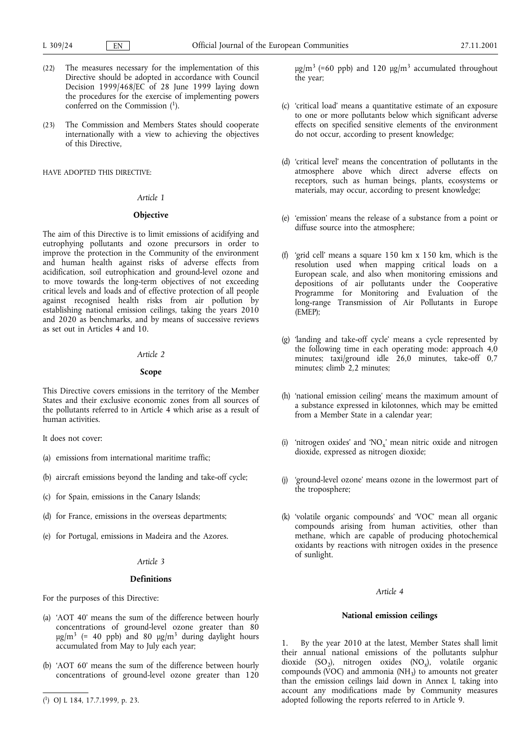- (22) The measures necessary for the implementation of this Directive should be adopted in accordance with Council Decision 1999/468/EC of 28 June 1999 laying down the procedures for the exercise of implementing powers conferred on the Commission (1).
- (23) The Commission and Members States should cooperate internationally with a view to achieving the objectives of this Directive,

HAVE ADOPTED THIS DIRECTIVE:

### Article 1

# **Objective**

The aim of this Directive is to limit emissions of acidifying and eutrophying pollutants and ozone precursors in order to improve the protection in the Community of the environment and human health against risks of adverse effects from acidification, soil eutrophication and ground-level ozone and to move towards the long-term objectives of not exceeding critical levels and loads and of effective protection of all people against recognised health risks from air pollution by establishing national emission ceilings, taking the years 2010 and 2020 as benchmarks, and by means of successive reviews as set out in Articles 4 and 10.

## Article 2

## Scope

This Directive covers emissions in the territory of the Member States and their exclusive economic zones from all sources of the pollutants referred to in Article 4 which arise as a result of human activities.

It does not cover:

- (a) emissions from international maritime traffic;
- (b) aircraft emissions beyond the landing and take-off cycle;
- (c) for Spain, emissions in the Canary Islands;
- (d) for France, emissions in the overseas departments;
- (e) for Portugal, emissions in Madeira and the Azores.

# Article 3

## Definitions

For the purposes of this Directive:

- (a) 'AOT 40' means the sum of the difference between hourly concentrations of ground-level ozone greater than 80  $\mu$ g/m<sup>3</sup> (= 40 ppb) and 80  $\mu$ g/m<sup>3</sup> during daylight hours accumulated from May to July each year;
- (b) 'AOT 60' means the sum of the difference between hourly concentrations of ground-level ozone greater than 120

 $\mu$ g/m<sup>3</sup> (=60 ppb) and 120  $\mu$ g/m<sup>3</sup> accumulated throughout the year;

- (c) 'critical load' means a quantitative estimate of an exposure to one or more pollutants below which significant adverse effects on specified sensitive elements of the environment do not occur, according to present knowledge;
- (d) 'critical level' means the concentration of pollutants in the atmosphere above which direct adverse effects on receptors, such as human beings, plants, ecosystems or materials, may occur, according to present knowledge;
- (e) 'emission' means the release of a substance from a point or diffuse source into the atmosphere;
- (f) 'grid cell' means a square  $150 \text{ km} \times 150 \text{ km}$ , which is the resolution used when mapping critical loads on a European scale, and also when monitoring emissions and depositions of air pollutants under the Cooperative Programme for Monitoring and Evaluation of the long-range Transmission of Air Pollutants in Europe (EMEP);
- (g) 'landing and take-off cycle' means a cycle represented by the following time in each operating mode: approach 4,0 minutes; taxi/ground idle 26,0 minutes, take-off 0,7 minutes; climb 2,2 minutes;
- (h) 'national emission ceiling' means the maximum amount of a substance expressed in kilotonnes, which may be emitted from a Member State in a calendar year;
- (i) 'nitrogen oxides' and ' $NO_x$ ' mean nitric oxide and nitrogen dioxide, expressed as nitrogen dioxide;
- (j) 'ground-level ozone' means ozone in the lowermost part of the troposphere;
- (k) 'volatile organic compounds' and 'VOC' mean all organic compounds arising from human activities, other than methane, which are capable of producing photochemical oxidants by reactions with nitrogen oxides in the presence of sunlight.

## Article 4

## National emission ceilings

1. By the year 2010 at the latest, Member States shall limit their annual national emissions of the pollutants sulphur dioxide (SO<sub>2</sub>), nitrogen oxides (NO<sub>x</sub>), volatile organic compounds (VOC) and ammonia (NH<sub>3</sub>) to amounts not greater than the emission ceilings laid down in Annex I, taking into account any modifications made by Community measures ( $^{1}$ ) OJ L 184, 17.7.1999, p. 23. 1) adopted following the reports referred to in Article 9.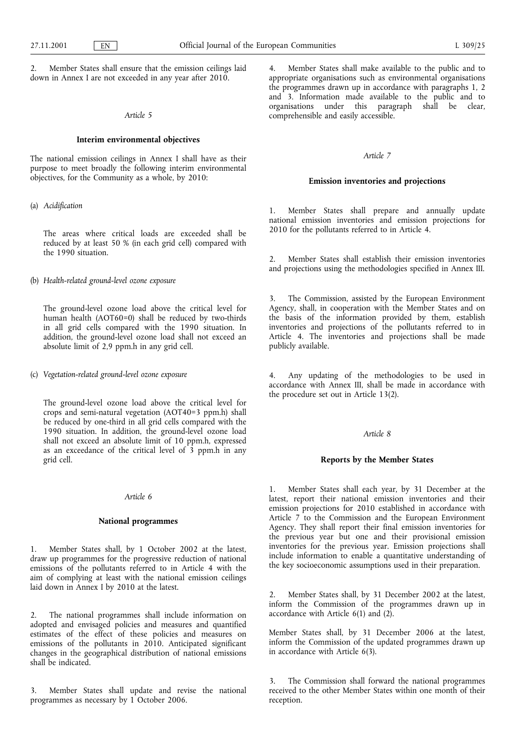Member States shall ensure that the emission ceilings laid down in Annex I are not exceeded in any year after 2010.

## Article 5

## Interim environmental objectives

The national emission ceilings in Annex I shall have as their purpose to meet broadly the following interim environmental objectives, for the Community as a whole, by 2010:

#### (a) Acidification

The areas where critical loads are exceeded shall be reduced by at least 50 % (in each grid cell) compared with the 1990 situation.

(b) Health-related ground-level ozone exposure

The ground-level ozone load above the critical level for human health (AOT60=0) shall be reduced by two-thirds in all grid cells compared with the 1990 situation. In addition, the ground-level ozone load shall not exceed an absolute limit of 2,9 ppm.h in any grid cell.

(c) Vegetation-related ground-level ozone exposure

The ground-level ozone load above the critical level for crops and semi-natural vegetation (AOT40=3 ppm.h) shall be reduced by one-third in all grid cells compared with the 1990 situation. In addition, the ground-level ozone load shall not exceed an absolute limit of 10 ppm.h, expressed as an exceedance of the critical level of 3 ppm.h in any grid cell.

#### Article 6

## National programmes

1. Member States shall, by 1 October 2002 at the latest, draw up programmes for the progressive reduction of national emissions of the pollutants referred to in Article 4 with the aim of complying at least with the national emission ceilings laid down in Annex I by 2010 at the latest.

2. The national programmes shall include information on adopted and envisaged policies and measures and quantified estimates of the effect of these policies and measures on emissions of the pollutants in 2010. Anticipated significant changes in the geographical distribution of national emissions shall be indicated.

3. Member States shall update and revise the national programmes as necessary by 1 October 2006.

Member States shall make available to the public and to appropriate organisations such as environmental organisations the programmes drawn up in accordance with paragraphs 1, 2 and 3. Information made available to the public and to organisations under this paragraph shall be clear, comprehensible and easily accessible.

#### Article 7

## Emission inventories and projections

1. Member States shall prepare and annually update national emission inventories and emission projections for 2010 for the pollutants referred to in Article 4.

2. Member States shall establish their emission inventories and projections using the methodologies specified in Annex III.

3. The Commission, assisted by the European Environment Agency, shall, in cooperation with the Member States and on the basis of the information provided by them, establish inventories and projections of the pollutants referred to in Article 4. The inventories and projections shall be made publicly available.

4. Any updating of the methodologies to be used in accordance with Annex III, shall be made in accordance with the procedure set out in Article 13(2).

## Article 8

## Reports by the Member States

1. Member States shall each year, by 31 December at the latest, report their national emission inventories and their emission projections for 2010 established in accordance with Article 7 to the Commission and the European Environment Agency. They shall report their final emission inventories for the previous year but one and their provisional emission inventories for the previous year. Emission projections shall include information to enable a quantitative understanding of the key socioeconomic assumptions used in their preparation.

2. Member States shall, by 31 December 2002 at the latest, inform the Commission of the programmes drawn up in accordance with Article 6(1) and (2).

Member States shall, by 31 December 2006 at the latest, inform the Commission of the updated programmes drawn up in accordance with Article 6(3).

3. The Commission shall forward the national programmes received to the other Member States within one month of their reception.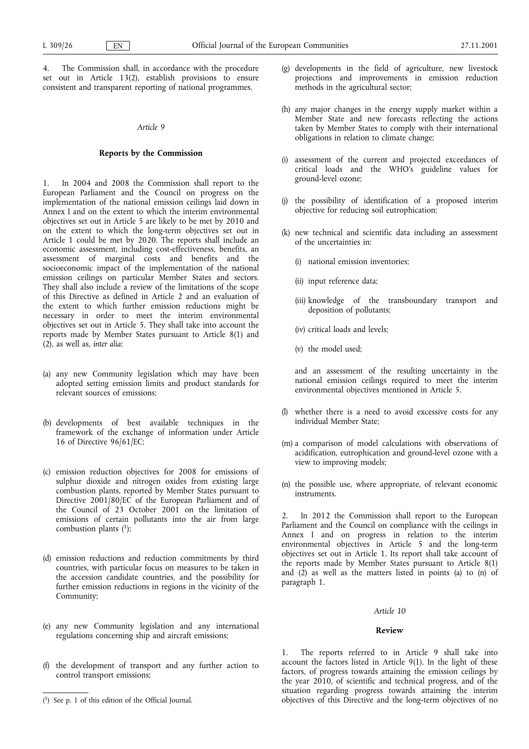4. The Commission shall, in accordance with the procedure set out in Article 13(2), establish provisions to ensure consistent and transparent reporting of national programmes.

# Article 9

# Reports by the Commission

In 2004 and 2008 the Commission shall report to the European Parliament and the Council on progress on the implementation of the national emission ceilings laid down in Annex I and on the extent to which the interim environmental objectives set out in Article 5 are likely to be met by 2010 and on the extent to which the long-term objectives set out in Article 1 could be met by 2020. The reports shall include an economic assessment, including cost-effectiveness, benefits, an assessment of marginal costs and benefits and the socioeconomic impact of the implementation of the national emission ceilings on particular Member States and sectors. They shall also include a review of the limitations of the scope of this Directive as defined in Article 2 and an evaluation of the extent to which further emission reductions might be necessary in order to meet the interim environmental objectives set out in Article 5. They shall take into account the reports made by Member States pursuant to Article 8(1) and  $(2)$ , as well as, inter alia:

- (a) any new Community legislation which may have been adopted setting emission limits and product standards for relevant sources of emissions;
- (b) developments of best available techniques in the framework of the exchange of information under Article 16 of Directive 96/61/EC;
- (c) emission reduction objectives for 2008 for emissions of sulphur dioxide and nitrogen oxides from existing large combustion plants, reported by Member States pursuant to Directive 2001/80/EC of the European Parliament and of the Council of 23 October 2001 on the limitation of emissions of certain pollutants into the air from large combustion plants  $(1)$ ;
- (d) emission reductions and reduction commitments by third countries, with particular focus on measures to be taken in the accession candidate countries, and the possibility for further emission reductions in regions in the vicinity of the Community;
- (e) any new Community legislation and any international regulations concerning ship and aircraft emissions;
- (f) the development of transport and any further action to control transport emissions;
- (g) developments in the field of agriculture, new livestock projections and improvements in emission reduction methods in the agricultural sector;
- (h) any major changes in the energy supply market within a Member State and new forecasts reflecting the actions taken by Member States to comply with their international obligations in relation to climate change;
- (i) assessment of the current and projected exceedances of critical loads and the WHO's guideline values for ground-level ozone;
- (j) the possibility of identification of a proposed interim objective for reducing soil eutrophication;
- (k) new technical and scientific data including an assessment of the uncertainties in:
	- (i) national emission inventories;
	- (ii) input reference data;
	- (iii) knowledge of the transboundary transport and deposition of pollutants;
	- (iv) critical loads and levels;
	- (v) the model used;

and an assessment of the resulting uncertainty in the national emission ceilings required to meet the interim environmental objectives mentioned in Article 5.

- (l) whether there is a need to avoid excessive costs for any individual Member State;
- (m) a comparison of model calculations with observations of acidification, eutrophication and ground-level ozone with a view to improving models;
- (n) the possible use, where appropriate, of relevant economic instruments.

In 2012 the Commission shall report to the European Parliament and the Council on compliance with the ceilings in Annex I and on progress in relation to the interim environmental objectives in Article 5 and the long-term objectives set out in Article 1. Its report shall take account of the reports made by Member States pursuant to Article 8(1) and  $(2)$  as well as the matters listed in points (a) to (n) of paragraph 1.

## Article 10

#### Review

1. The reports referred to in Article 9 shall take into account the factors listed in Article 9(1). In the light of these factors, of progress towards attaining the emission ceilings by the year 2010, of scientific and technical progress, and of the situation regarding progress towards attaining the interim (<sup>1</sup>) See p. 1 of this edition of the Official Journal. objectives of this Directive and the long-term objectives of no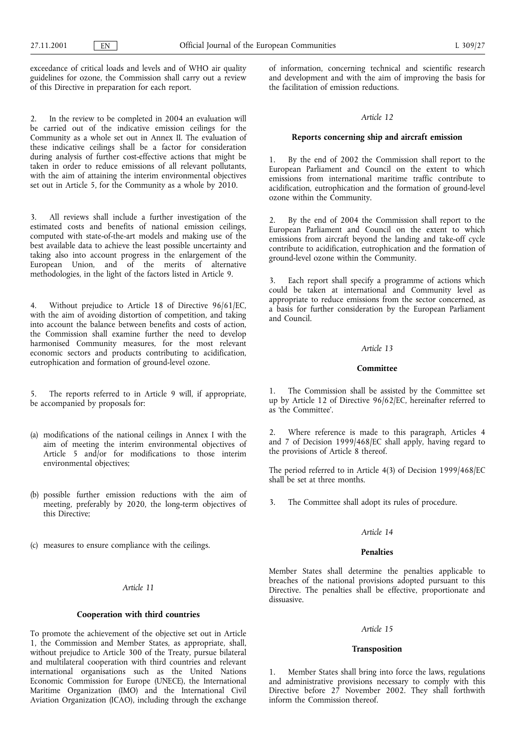exceedance of critical loads and levels and of WHO air quality guidelines for ozone, the Commission shall carry out a review of this Directive in preparation for each report.

In the review to be completed in 2004 an evaluation will be carried out of the indicative emission ceilings for the Community as a whole set out in Annex II. The evaluation of these indicative ceilings shall be a factor for consideration during analysis of further cost-effective actions that might be taken in order to reduce emissions of all relevant pollutants, with the aim of attaining the interim environmental objectives set out in Article 5, for the Community as a whole by 2010.

3. All reviews shall include a further investigation of the estimated costs and benefits of national emission ceilings, computed with state-of-the-art models and making use of the best available data to achieve the least possible uncertainty and taking also into account progress in the enlargement of the European Union, and of the merits of alternative methodologies, in the light of the factors listed in Article 9.

4. Without prejudice to Article 18 of Directive 96/61/EC, with the aim of avoiding distortion of competition, and taking into account the balance between benefits and costs of action, the Commission shall examine further the need to develop harmonised Community measures, for the most relevant economic sectors and products contributing to acidification, eutrophication and formation of ground-level ozone.

The reports referred to in Article 9 will, if appropriate, be accompanied by proposals for:

- (a) modifications of the national ceilings in Annex I with the aim of meeting the interim environmental objectives of Article 5 and/or for modifications to those interim environmental objectives;
- (b) possible further emission reductions with the aim of meeting, preferably by 2020, the long-term objectives of this Directive;
- (c) measures to ensure compliance with the ceilings.

# Article 11

## Cooperation with third countries

To promote the achievement of the objective set out in Article 1, the Commission and Member States, as appropriate, shall, without prejudice to Article 300 of the Treaty, pursue bilateral and multilateral cooperation with third countries and relevant international organisations such as the United Nations Economic Commission for Europe (UNECE), the International Maritime Organization (IMO) and the International Civil Aviation Organization (ICAO), including through the exchange of information, concerning technical and scientific research and development and with the aim of improving the basis for the facilitation of emission reductions.

#### Article 12

## Reports concerning ship and aircraft emission

1. By the end of 2002 the Commission shall report to the European Parliament and Council on the extent to which emissions from international maritime traffic contribute to acidification, eutrophication and the formation of ground-level ozone within the Community.

2. By the end of 2004 the Commission shall report to the European Parliament and Council on the extent to which emissions from aircraft beyond the landing and take-off cycle contribute to acidification, eutrophication and the formation of ground-level ozone within the Community.

3. Each report shall specify a programme of actions which could be taken at international and Community level as appropriate to reduce emissions from the sector concerned, as a basis for further consideration by the European Parliament and Council.

#### Article 13

# Committee

1. The Commission shall be assisted by the Committee set up by Article 12 of Directive 96/62/EC, hereinafter referred to as 'the Committee'.

2. Where reference is made to this paragraph, Articles 4 and 7 of Decision 1999/468/EC shall apply, having regard to the provisions of Article 8 thereof.

The period referred to in Article 4(3) of Decision 1999/468/EC shall be set at three months.

3. The Committee shall adopt its rules of procedure.

# Article 14

# Penalties

Member States shall determine the penalties applicable to breaches of the national provisions adopted pursuant to this Directive. The penalties shall be effective, proportionate and dissuasive.

## Article 15

# Transposition

1. Member States shall bring into force the laws, regulations and administrative provisions necessary to comply with this Directive before 27 November 2002. They shall forthwith inform the Commission thereof.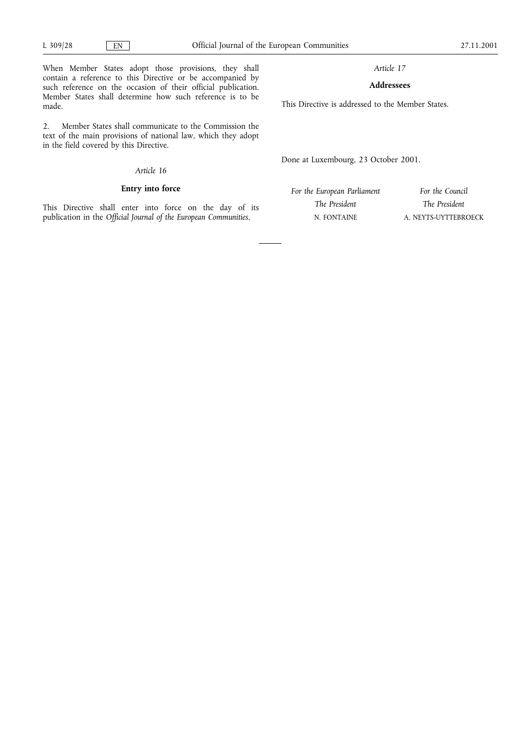made.

Article 17

# Addressees

This Directive is addressed to the Member States.

2. Member States shall communicate to the Commission the text of the main provisions of national law, which they adopt in the field covered by this Directive.

# Article 16

When Member States adopt those provisions, they shall contain a reference to this Directive or be accompanied by such reference on the occasion of their official publication. Member States shall determine how such reference is to be

# Entry into force

This Directive shall enter into force on the day of its publication in the Official Journal of the European Communities.

Done at Luxembourg, 23 October 2001.

For the European Parliament The President N. FONTAINE

For the Council The President A. NEYTS-UYTTEBROECK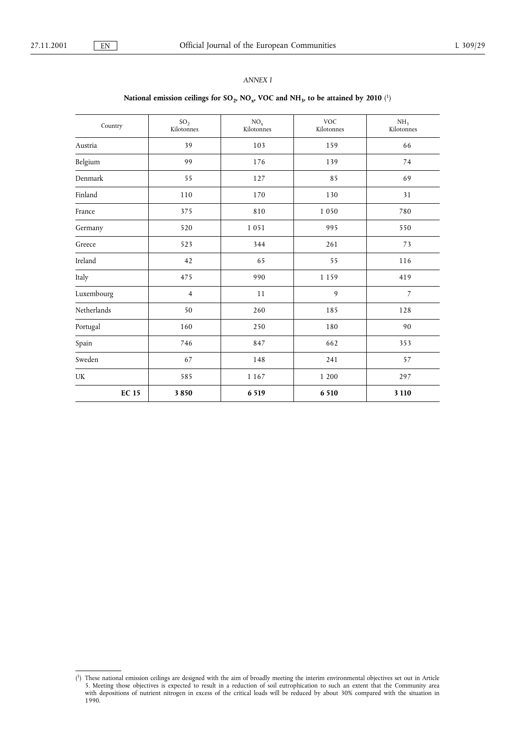# ANNEX I

# National emission ceilings for  $\text{SO}_2$ ,  $\text{NO}_x$ ,  $\text{VOC}$  and  $\text{NH}_3$ , to be attained by 2010  $(^1)$

| Country      | SO <sub>2</sub><br>Kilotonnes | $\mathrm{NO_x}$<br>Kilotonnes | <b>VOC</b><br>Kilotonnes | NH <sub>3</sub><br>Kilotonnes |
|--------------|-------------------------------|-------------------------------|--------------------------|-------------------------------|
| Austria      | 39                            | 103                           | 159                      | 66                            |
| Belgium      | 99                            | 176                           | 139                      | 74                            |
| Denmark      | 55                            | 127                           | 85                       | 69                            |
| Finland      | 110                           | 170                           | 130                      | 31                            |
| France       | 375                           | 810                           | 1 0 5 0                  | 780                           |
| Germany      | 520                           | 1051                          | 995                      | 550                           |
| Greece       | 523                           | 344                           | 261                      | 73                            |
| Ireland      | 42                            | 65                            | 55                       | 116                           |
| Italy        | 475                           | 990                           | 1 1 5 9                  | 419                           |
| Luxembourg   | $\overline{4}$                | 11                            | 9                        | $\overline{7}$                |
| Netherlands  | 50                            | 260                           | 185                      | 128                           |
| Portugal     | 160                           | 250                           | 180                      | 90                            |
| Spain        | 746                           | 847                           | 662                      | 353                           |
| Sweden       | 67                            | 148                           | 241                      | 57                            |
| UK           | 585                           | 1 1 6 7                       | 1 200                    | 297                           |
| <b>EC 15</b> | 3850                          | 6 5 1 9                       | 6 5 10                   | 3 1 1 0                       |

<sup>(</sup> 1) These national emission ceilings are designed with the aim of broadly meeting the interim environmental objectives set out in Article 5. Meeting those objectives is expected to result in a reduction of soil eutrophication to such an extent that the Community area with depositions of nutrient nitrogen in excess of the critical loads will be reduced by about 30% compared with the situation in 1990.